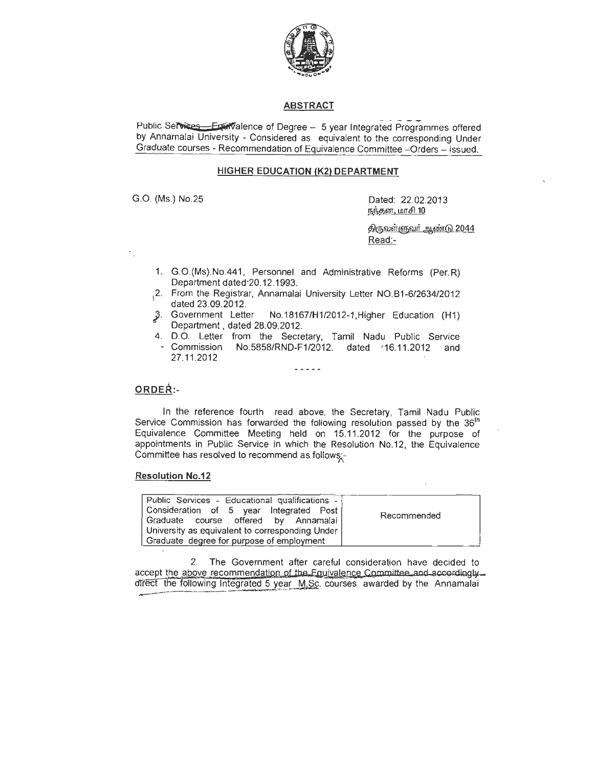

## **ABSTRACT**

Public Services - Examalence of Degree - 5 year Integrated Programmes offered by Annamalai University - Considered as equivalent to the corresponding Under Graduate courses - Recommendation of Equivalence Committee -Orders - issued.

## **HIGHER EDUCATION (K2) DEPARTMENT**

G.O. (Ms.) No.25 Dated: 22.02.2013 நந்தன, மாசி $10$ 

> <u>திருவள்ளுவர் ஆண்டு 2044</u> Read:-

- 1. G.O.(Ms).No.441 , Personnel and Administrative Reforms (Per. R) Department dated·20.12.1993.
- 2. From the Registrar, Annamalai University Letter NO.B1-6/2634/2012
- dated  $23.09.2012$ .<br> $\beta$ . Government Letter *No.18167/H1/2012-1,Higher Education (H1)* Department . dated 28.09.2012.
- 4. D.O. Letter from the Secretary, Tamil Nadu Public Service Commission No.5858/RND-F1/2012. dated <16.11.2012 and 27.11.2012

## $\frac{1}{2}$

# ORDER:-

In the reference fourth read above, the Secretary, Tamil Nadu Public Service Commission has forwarded the following resolution passed by the 36<sup>th</sup> Equivalence Committee Meeting held on 15.11.2012 for the purpose of appointments in Public Service in which the Resolution No.12, the Equivalence Committee has resolved to recommend as follows;\_-

#### **Resolution No.12**

| Public Services - Educational qualifications -  |             |
|-------------------------------------------------|-------------|
| Consideration of 5 year Integrated Post         |             |
| Graduate course offered by Annamalai            | Recommended |
| University as equivalent to corresponding Under |             |
| Graduate degree for purpose of employment       |             |

2. The Government after careful consideration have decided to accept the above recommendation of the Equivalence Committee and accordingly. direct the following Integrated 5 year M.Sc. courses awarded by the Annamalai